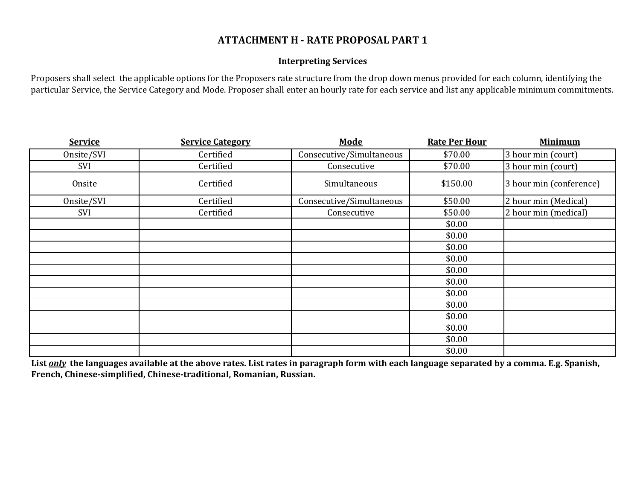## **ATTACHMENT H - RATE PROPOSAL PART 1**

## **Interpreting Services**

Proposers shall select the applicable options for the Proposers rate structure from the drop down menus provided for each column, identifying the particular Service, the Service Category and Mode. Proposer shall enter an hourly rate for each service and list any applicable minimum commitments.

| <b>Service</b> | <b>Service Category</b> | <b>Mode</b>              | <b>Rate Per Hour</b> | <b>Minimum</b>          |
|----------------|-------------------------|--------------------------|----------------------|-------------------------|
| Onsite/SVI     | Certified               | Consecutive/Simultaneous | \$70.00              | 3 hour min (court)      |
| SVI            | Certified               | Consecutive              | \$70.00              | 3 hour min (court)      |
| Onsite         | Certified               | Simultaneous             | \$150.00             | 3 hour min (conference) |
| Onsite/SVI     | Certified               | Consecutive/Simultaneous | \$50.00              | 2 hour min (Medical)    |
| SVI            | Certified               | Consecutive              | \$50.00              | 2 hour min (medical)    |
|                |                         |                          | \$0.00               |                         |
|                |                         |                          | \$0.00               |                         |
|                |                         |                          | \$0.00               |                         |
|                |                         |                          | \$0.00               |                         |
|                |                         |                          | \$0.00               |                         |
|                |                         |                          | \$0.00               |                         |
|                |                         |                          | \$0.00               |                         |
|                |                         |                          | \$0.00               |                         |
|                |                         |                          | \$0.00               |                         |
|                |                         |                          | \$0.00               |                         |
|                |                         |                          | \$0.00               |                         |
|                |                         |                          | \$0.00               |                         |

**List** *only* **the languages available at the above rates. List rates in paragraph form with each language separated by a comma. E.g. Spanish, French, Chinese-simplified, Chinese-traditional, Romanian, Russian.**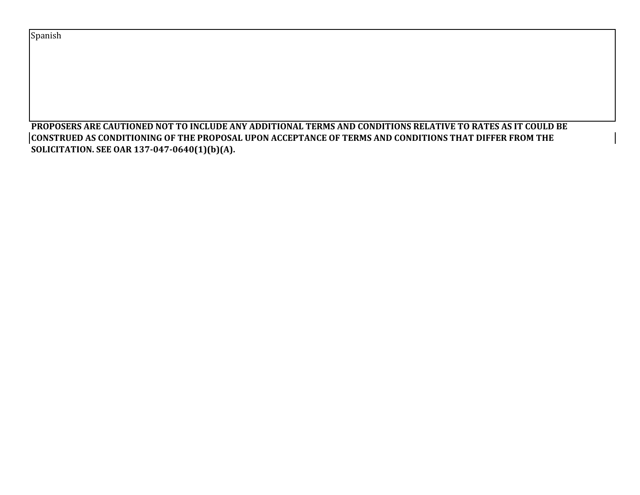Spanish

**PROPOSERS ARE CAUTIONED NOT TO INCLUDE ANY ADDITIONAL TERMS AND CONDITIONS RELATIVE TO RATES AS IT COULD BE CONSTRUED AS CONDITIONING OF THE PROPOSAL UPON ACCEPTANCE OF TERMS AND CONDITIONS THAT DIFFER FROM THE SOLICITATION. SEE OAR 137-047-0640(1)(b)(A).**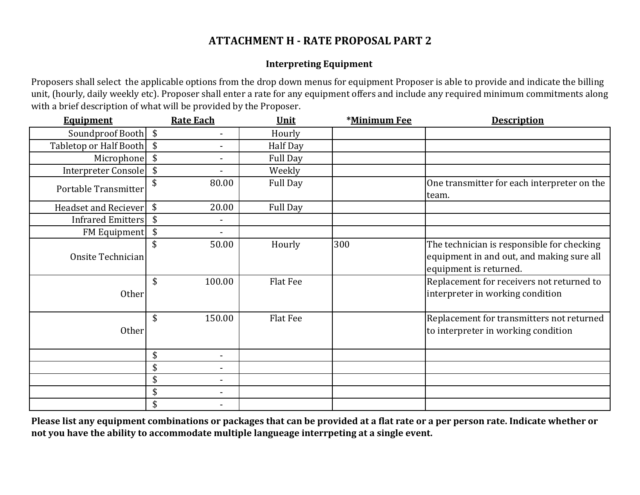## **ATTACHMENT H - RATE PROPOSAL PART 2**

## **Interpreting Equipment**

Proposers shall select the applicable options from the drop down menus for equipment Proposer is able to provide and indicate the billing unit, (hourly, daily weekly etc). Proposer shall enter a rate for any equipment offers and include any required minimum commitments along with a brief description of what will be provided by the Proposer.

| <b>Equipment</b>       |               | <b>Rate Each</b>             | Unit            | *Minimum Fee | <b>Description</b>                                                                                                |
|------------------------|---------------|------------------------------|-----------------|--------------|-------------------------------------------------------------------------------------------------------------------|
| Soundproof Booth \$    |               | $\overline{\phantom{a}}$     | Hourly          |              |                                                                                                                   |
| Tabletop or Half Booth | \$            |                              | Half Day        |              |                                                                                                                   |
| Microphone             | \$            | $\blacksquare$               | <b>Full Day</b> |              |                                                                                                                   |
| Interpreter Console    | \$            |                              | Weekly          |              |                                                                                                                   |
| Portable Transmitter   | \$            | 80.00                        | Full Day        |              | One transmitter for each interpreter on the<br>team.                                                              |
| Headset and Reciever   | $\sqrt[6]{3}$ | 20.00                        | Full Day        |              |                                                                                                                   |
| Infrared Emitters      | \$            | $\overline{\phantom{a}}$     |                 |              |                                                                                                                   |
| <b>FM Equipment</b>    | \$            |                              |                 |              |                                                                                                                   |
| Onsite Technician      | \$            | 50.00                        | Hourly          | 300          | The technician is responsible for checking<br>equipment in and out, and making sure all<br>equipment is returned. |
| Other                  | \$            | 100.00                       | Flat Fee        |              | Replacement for receivers not returned to<br>interpreter in working condition                                     |
| Other                  | \$            | 150.00                       | Flat Fee        |              | Replacement for transmitters not returned<br>to interpreter in working condition                                  |
|                        | \$            | $\blacksquare$               |                 |              |                                                                                                                   |
|                        | \$            | $\blacksquare$               |                 |              |                                                                                                                   |
|                        | \$            | $\blacksquare$               |                 |              |                                                                                                                   |
|                        | \$            | $\qquad \qquad \blacksquare$ |                 |              |                                                                                                                   |
|                        | \$            |                              |                 |              |                                                                                                                   |

**Please list any equipment combinations or packages that can be provided at a flat rate or a per person rate. Indicate whether or not you have the ability to accommodate multiple langueage interrpeting at a single event.**